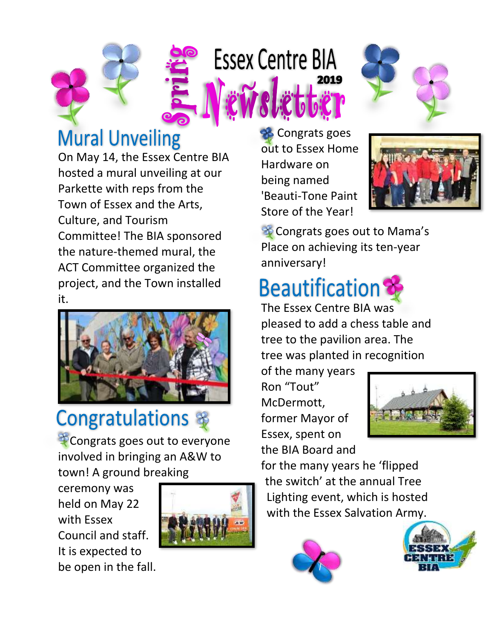#### **Mural Unveiling**

On May 14, the Essex Centre BIA hosted a mural unveiling at our Parkette with reps from the Town of Essex and the Arts, Culture, and Tourism Committee! The BIA sponsored the nature-themed mural, the ACT Committee organized the project, and the Town installed it.



### **Congratulations &**

**Congrats goes out to everyone** involved in bringing an A&W to town! A ground breaking

ceremony was held on May 22 with Essex Council and staff. It is expected to be open in the fall.



 Congrats goes out to Essex Home Hardware on being named 'Beauti-Tone Paint Store of the Year!

**Essex Centre BIA** 





 Congrats goes out to Mama's Place on achieving its ten-year anniversary!

## **Beautification**'

The Essex Centre BIA was pleased to add a chess table and tree to the pavilion area. The tree was planted in recognition

of the many years Ron "Tout" McDermott, former Mayor of Essex, spent on the BIA Board and



for the many years he 'flipped the switch' at the annual Tree Lighting event, which is hosted with the Essex Salvation Army.



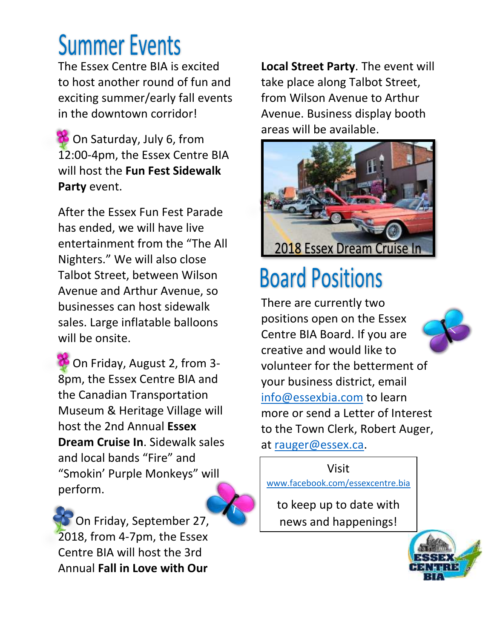## **Summer Events**

The Essex Centre BIA is excited to host another round of fun and exciting summer/early fall events in the downtown corridor!

On Saturday, July 6, from 12:00-4pm, the Essex Centre BIA will host the **Fun Fest Sidewalk Party** event.

After the Essex Fun Fest Parade has ended, we will have live entertainment from the "The All Nighters." We will also close Talbot Street, between Wilson Avenue and Arthur Avenue, so businesses can host sidewalk sales. Large inflatable balloons will be onsite.

 On Friday, August 2, from 3- 8pm, the Essex Centre BIA and the Canadian Transportation Museum & Heritage Village will host the 2nd Annual **Essex Dream Cruise In**. Sidewalk sales and local bands "Fire" and "Smokin' Purple Monkeys" will perform.

 On Friday, September 27, 2018, from 4-7pm, the Essex Centre BIA will host the 3rd Annual **Fall in Love with Our**

**Local Street Party**. The event will take place along Talbot Street, from Wilson Avenue to Arthur Avenue. Business display booth areas will be available.



## **Board Positions**

There are currently two positions open on the Essex Centre BIA Board. If you are creative and would like to volunteer for the betterment of your business district, email [info@essexbia.com](mailto:info@essexbia.com) to learn more or send a Letter of Interest to the Town Clerk, Robert Auger, at [rauger@essex.ca.](mailto:rauger@essex.ca)



#### Visit

[www.facebook.com/essexcentre.bia](http://www.facebook.com/essexcentre.bia)

to keep up to date with news and happenings!

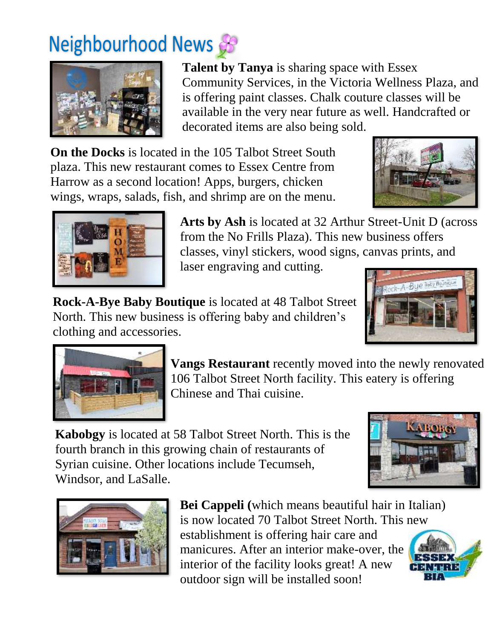### **Neighbourhood News SS**



**Talent by Tanya** is sharing space with Essex Community Services, in the Victoria Wellness Plaza, and is offering paint classes. Chalk couture classes will be available in the very near future as well. Handcrafted or decorated items are also being sold.

**On the Docks** is located in the 105 Talbot Street South plaza. This new restaurant comes to Essex Centre from Harrow as a second location! Apps, burgers, chicken wings, wraps, salads, fish, and shrimp are on the menu.





**Arts by Ash** is located at 32 Arthur Street-Unit D (across from the No Frills Plaza). This new business offers classes, vinyl stickers, wood signs, canvas prints, and laser engraving and cutting.

**Rock-A-Bye Baby Boutique** is located at 48 Talbot Street North. This new business is offering baby and children's clothing and accessories.





**Vangs Restaurant** recently moved into the newly renovated 106 Talbot Street North facility. This eatery is offering Chinese and Thai cuisine.

**Kabobgy** is located at 58 Talbot Street North. This is the fourth branch in this growing chain of restaurants of Syrian cuisine. Other locations include Tecumseh, Windsor, and LaSalle.





**Bei Cappeli (**which means beautiful hair in Italian) is now located 70 Talbot Street North. This new establishment is offering hair care and manicures. After an interior make-over, the interior of the facility looks great! A new outdoor sign will be installed soon!